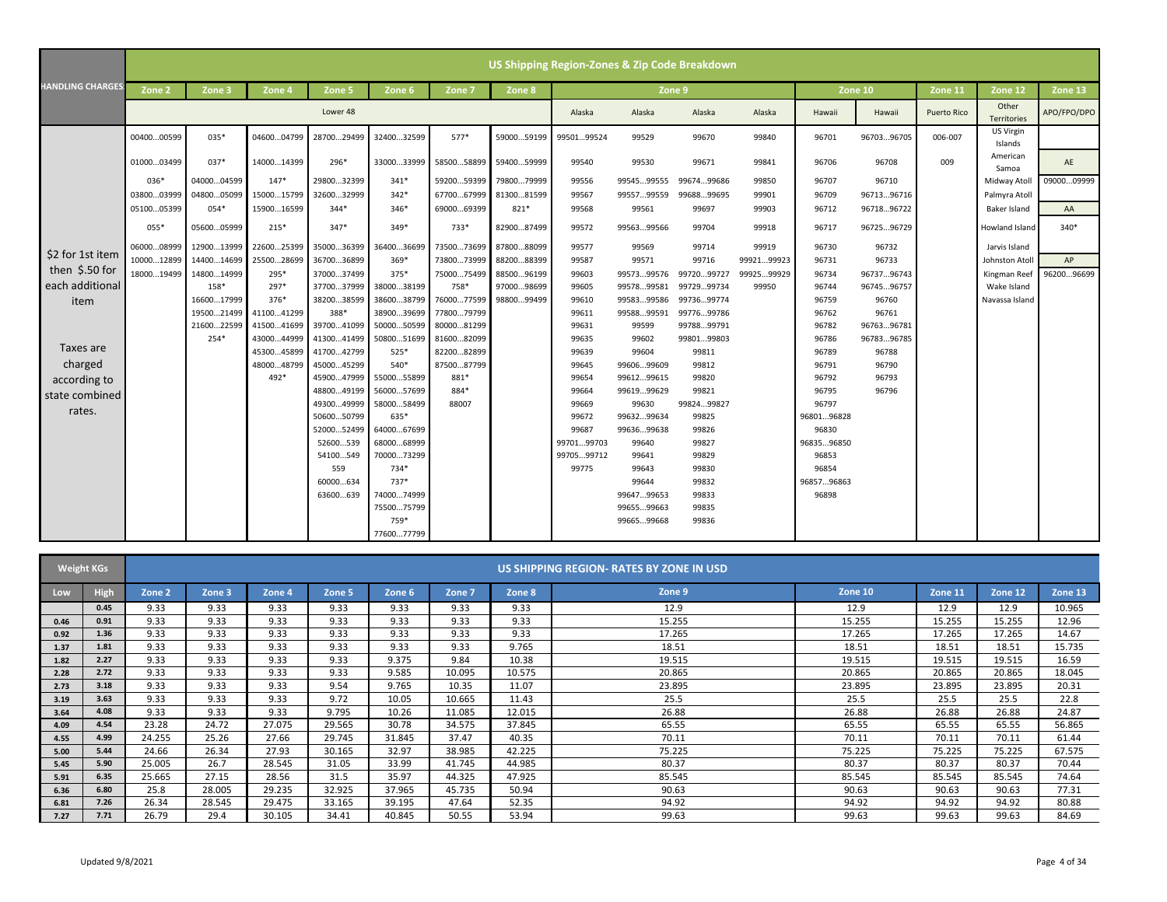|                         | US Shipping Region-Zones & Zip Code Breakdown |            |            |                      |              |                                  |            |            |                     |                |            |                     |            |                    |                      |             |
|-------------------------|-----------------------------------------------|------------|------------|----------------------|--------------|----------------------------------|------------|------------|---------------------|----------------|------------|---------------------|------------|--------------------|----------------------|-------------|
| <b>HANDLING CHARGES</b> | Zone <sub>2</sub>                             | Zone 3     | Zone 4     | Zone 5               | Zone 6       | Zone 7                           | Zone 8     |            | Zone 9              |                |            | Zone 10             |            | Zone 11            | Zone 12              | Zone 13     |
|                         |                                               |            |            | Lower 48             |              |                                  |            | Alaska     | Alaska              | Alaska         | Alaska     | Hawaii              | Hawaii     | <b>Puerto Rico</b> | Other<br>Territories | APO/FPO/DPO |
|                         | 0040000599                                    | 035*       | 0460004799 | 2870029499           | 3240032599   | $577*$                           | 5900059199 | 9950199524 | 99529               | 99670          | 99840      | 96701               | 9670396705 | 006-007            | US Virgin<br>Islands |             |
|                         | 0100003499                                    | $037*$     | 1400014399 | 296*                 |              | 3300033999 5850058899 5940059999 |            | 99540      | 99530               | 99671          | 99841      | 96706               | 96708      | 009                | American<br>Samoa    | AE          |
|                         | $036*$                                        | 0400004599 | $147*$     | 2980032399           | $341*$       | 5920059399                       | 7980079999 | 99556      | 9954599555          | 9967499686     | 99850      | 96707               | 96710      |                    | Midway Atoll         | 0900009999  |
|                         | 0380003999                                    | 0480005099 | 1500015799 | 3260032999           | $342*$       | 6770067999                       | 8130081599 | 99567      | 9955799559          | 9968899695     | 99901      | 96709               | 9671396716 |                    | Palmyra Atoll        |             |
|                         | 0510005399                                    | 054*       | 1590016599 | $344*$               | $346*$       | 6900069399                       | 821*       | 99568      | 99561               | 99697          | 99903      | 96712               | 9671896722 |                    | Baker Island         | AA          |
|                         | $055*$                                        | 0560005999 | 215*       | $347*$               | $349*$       | 733*                             | 8290087499 | 99572      | 9956399566          | 99704          | 99918      | 96717               | 9672596729 |                    | Howland Island       | $340*$      |
|                         | 0600008999                                    | 1290013999 | 2260025399 | 3500036399           | 3640036699   | 7350073699                       | 8780088099 | 99577      | 99569               | 99714          | 99919      | 96730               | 96732      |                    | Jarvis Island        |             |
| \$2 for 1st item        | 1000012899                                    | 1440014699 | 2550028699 | 3670036899           | $369*$       | 7380073999                       | 8820088399 | 99587      | 99571               | 99716          | 9992199923 | 96731               | 96733      |                    | Johnston Atoll       | AP          |
| then \$.50 for          | 1800019499                                    | 1480014999 | 295*       | 3700037499           | 375*         | 7500075499                       | 8850096199 | 99603      | 9957399576          | 9972099727     | 9992599929 | 96734               | 9673796743 |                    | Kingman Reef         | 9620096699  |
| each additional         |                                               | 158*       | 297*       | 3770037999           | 3800038199   | 758*                             | 9700098699 | 99605      | 9957899581          | 9972999734     | 99950      | 96744               | 9674596757 |                    | Wake Island          |             |
| item                    |                                               | 1660017999 | 376*       | 3820038599           | 3860038799   | 7600077599                       | 9880099499 | 99610      | 9958399586          | 9973699774     |            | 96759               | 96760      |                    | Navassa Island       |             |
|                         |                                               | 1950021499 | 4110041299 | 388*                 | 3890039699   | 7780079799                       |            | 99611      | 9958899591          | 9977699786     |            | 96762               | 96761      |                    |                      |             |
|                         |                                               | 2160022599 | 4150041699 | 3970041099           | 5000050599   | 8000081299                       |            | 99631      | 99599               | 9978899791     |            | 96782               | 9676396781 |                    |                      |             |
|                         |                                               | 254*       | 4300044999 | 4130041499           | 5080051699   | 8160082099                       |            | 99635      | 99602               | 9980199803     |            | 96786               | 9678396785 |                    |                      |             |
| Taxes are               |                                               |            | 4530045899 | 4170042799           | $525*$       | 8220082899                       |            | 99639      | 99604               | 99811          |            | 96789               | 96788      |                    |                      |             |
| charged                 |                                               |            | 4800048799 | 4500045299           | 540*         | 8750087799                       |            | 99645      | 9960699609          | 99812          |            | 96791               | 96790      |                    |                      |             |
| according to            |                                               |            | 492*       | 4590047999           | 5500055899   | 881*                             |            | 99654      | 9961299615          | 99820          |            | 96792               | 96793      |                    |                      |             |
| state combined          |                                               |            |            | 4880049199           | 5600057699   | 884*                             |            | 99664      | 9961999629          | 99821          |            | 96795               | 96796      |                    |                      |             |
| rates.                  |                                               |            |            | 4930049999           | 5800058499   | 88007                            |            | 99669      | 99630               | 9982499827     |            | 96797               |            |                    |                      |             |
|                         |                                               |            |            | 5060050799           | 635*         |                                  |            | 99672      | 9963299634          | 99825          |            | 9680196828          |            |                    |                      |             |
|                         |                                               |            |            | 5200052499           | 6400067699   |                                  |            | 99687      | 9963699638          | 99826          |            | 96830               |            |                    |                      |             |
|                         |                                               |            |            | 52600539             | 6800068999   |                                  |            | 9970199703 | 99640               | 99827          |            | 9683596850          |            |                    |                      |             |
|                         |                                               |            |            | 54100549             | 7000073299   |                                  |            | 9970599712 | 99641               | 99829          |            | 96853               |            |                    |                      |             |
|                         |                                               |            |            | 559                  | 734*<br>737* |                                  |            | 99775      | 99643               | 99830          |            | 96854               |            |                    |                      |             |
|                         |                                               |            |            | 60000634<br>63600639 | 7400074999   |                                  |            |            | 99644<br>9964799653 | 99832<br>99833 |            | 9685796863<br>96898 |            |                    |                      |             |
|                         |                                               |            |            |                      | 7550075799   |                                  |            |            | 9965599663          | 99835          |            |                     |            |                    |                      |             |
|                         |                                               |            |            |                      | 759*         |                                  |            |            | 9966599668          | 99836          |            |                     |            |                    |                      |             |
|                         |                                               |            |            |                      | 7760077799   |                                  |            |            |                     |                |            |                     |            |                    |                      |             |

| <b>Weight KGs</b> |             | US SHIPPING REGION- RATES BY ZONE IN USD |        |        |        |        |        |        |        |         |         |         |         |
|-------------------|-------------|------------------------------------------|--------|--------|--------|--------|--------|--------|--------|---------|---------|---------|---------|
| Low               | <b>High</b> | Zone 2                                   | Zone 3 | Zone 4 | Zone 5 | Zone 6 | Zone 7 | Zone 8 | Zone 9 | Zone 10 | Zone 11 | Zone 12 | Zone 13 |
|                   | 0.45        | 9.33                                     | 9.33   | 9.33   | 9.33   | 9.33   | 9.33   | 9.33   | 12.9   | 12.9    | 12.9    | 12.9    | 10.965  |
| 0.46              | 0.91        | 9.33                                     | 9.33   | 9.33   | 9.33   | 9.33   | 9.33   | 9.33   | 15.255 | 15.255  | 15.255  | 15.255  | 12.96   |
| 0.92              | 1.36        | 9.33                                     | 9.33   | 9.33   | 9.33   | 9.33   | 9.33   | 9.33   | 17.265 | 17.265  | 17.265  | 17.265  | 14.67   |
| 1.37              | 1.81        | 9.33                                     | 9.33   | 9.33   | 9.33   | 9.33   | 9.33   | 9.765  | 18.51  | 18.51   | 18.51   | 18.51   | 15.735  |
| 1.82              | 2.27        | 9.33                                     | 9.33   | 9.33   | 9.33   | 9.375  | 9.84   | 10.38  | 19.515 | 19.515  | 19.515  | 19.515  | 16.59   |
| 2.28              | 2.72        | 9.33                                     | 9.33   | 9.33   | 9.33   | 9.585  | 10.095 | 10.575 | 20.865 | 20.865  | 20.865  | 20.865  | 18.045  |
| 2.73              | 3.18        | 9.33                                     | 9.33   | 9.33   | 9.54   | 9.765  | 10.35  | 11.07  | 23.895 | 23.895  | 23.895  | 23.895  | 20.31   |
| 3.19              | 3.63        | 9.33                                     | 9.33   | 9.33   | 9.72   | 10.05  | 10.665 | 11.43  | 25.5   | 25.5    | 25.5    | 25.5    | 22.8    |
| 3.64              | 4.08        | 9.33                                     | 9.33   | 9.33   | 9.795  | 10.26  | 11.085 | 12.015 | 26.88  | 26.88   | 26.88   | 26.88   | 24.87   |
| 4.09              | 4.54        | 23.28                                    | 24.72  | 27.075 | 29.565 | 30.78  | 34.575 | 37.845 | 65.55  | 65.55   | 65.55   | 65.55   | 56.865  |
| 4.55              | 4.99        | 24.255                                   | 25.26  | 27.66  | 29.745 | 31.845 | 37.47  | 40.35  | 70.11  | 70.11   | 70.11   | 70.11   | 61.44   |
| 5.00              | 5.44        | 24.66                                    | 26.34  | 27.93  | 30.165 | 32.97  | 38.985 | 42.225 | 75.225 | 75.225  | 75.225  | 75.225  | 67.575  |
| 5.45              | 5.90        | 25.005                                   | 26.7   | 28.545 | 31.05  | 33.99  | 41.745 | 44.985 | 80.37  | 80.37   | 80.37   | 80.37   | 70.44   |
| 5.91              | 6.35        | 25.665                                   | 27.15  | 28.56  | 31.5   | 35.97  | 44.325 | 47.925 | 85.545 | 85.545  | 85.545  | 85.545  | 74.64   |
| 6.36              | 6.80        | 25.8                                     | 28.005 | 29.235 | 32.925 | 37.965 | 45.735 | 50.94  | 90.63  | 90.63   | 90.63   | 90.63   | 77.31   |
| 6.81              | 7.26        | 26.34                                    | 28.545 | 29.475 | 33.165 | 39.195 | 47.64  | 52.35  | 94.92  | 94.92   | 94.92   | 94.92   | 80.88   |
| 7.27              | 7.71        | 26.79                                    | 29.4   | 30.105 | 34.41  | 40.845 | 50.55  | 53.94  | 99.63  | 99.63   | 99.63   | 99.63   | 84.69   |